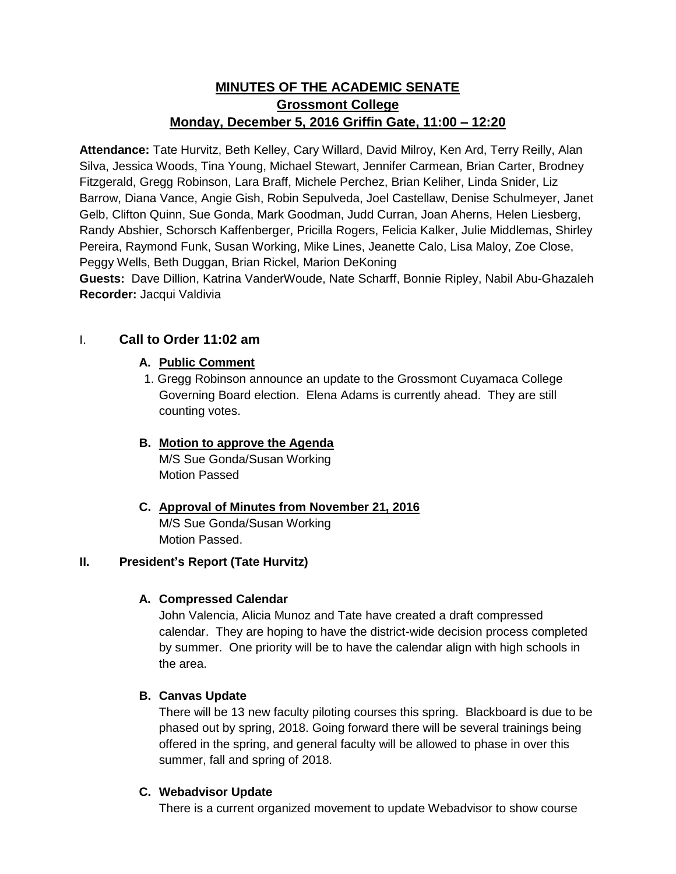# **MINUTES OF THE ACADEMIC SENATE Grossmont College Monday, December 5, 2016 Griffin Gate, 11:00 – 12:20**

**Attendance:** Tate Hurvitz, Beth Kelley, Cary Willard, David Milroy, Ken Ard, Terry Reilly, Alan Silva, Jessica Woods, Tina Young, Michael Stewart, Jennifer Carmean, Brian Carter, Brodney Fitzgerald, Gregg Robinson, Lara Braff, Michele Perchez, Brian Keliher, Linda Snider, Liz Barrow, Diana Vance, Angie Gish, Robin Sepulveda, Joel Castellaw, Denise Schulmeyer, Janet Gelb, Clifton Quinn, Sue Gonda, Mark Goodman, Judd Curran, Joan Aherns, Helen Liesberg, Randy Abshier, Schorsch Kaffenberger, Pricilla Rogers, Felicia Kalker, Julie Middlemas, Shirley Pereira, Raymond Funk, Susan Working, Mike Lines, Jeanette Calo, Lisa Maloy, Zoe Close, Peggy Wells, Beth Duggan, Brian Rickel, Marion DeKoning

**Guests:** Dave Dillion, Katrina VanderWoude, Nate Scharff, Bonnie Ripley, Nabil Abu-Ghazaleh **Recorder: Jacqui Valdivia** 

# I. **Call to Order 11:02 am**

# **A. Public Comment**

1. Gregg Robinson announce an update to the Grossmont Cuyamaca College Governing Board election. Elena Adams is currently ahead. They are still counting votes.

### **B. Motion to approve the Agenda**

M/S Sue Gonda/Susan Working Motion Passed

**C. Approval of Minutes from November 21, 2016** M/S Sue Gonda/Susan Working Motion Passed.

# **II. President's Report (Tate Hurvitz)**

# **A. Compressed Calendar**

John Valencia, Alicia Munoz and Tate have created a draft compressed calendar. They are hoping to have the district-wide decision process completed by summer. One priority will be to have the calendar align with high schools in the area.

# **B. Canvas Update**

There will be 13 new faculty piloting courses this spring. Blackboard is due to be phased out by spring, 2018. Going forward there will be several trainings being offered in the spring, and general faculty will be allowed to phase in over this summer, fall and spring of 2018.

# **C. Webadvisor Update**

There is a current organized movement to update Webadvisor to show course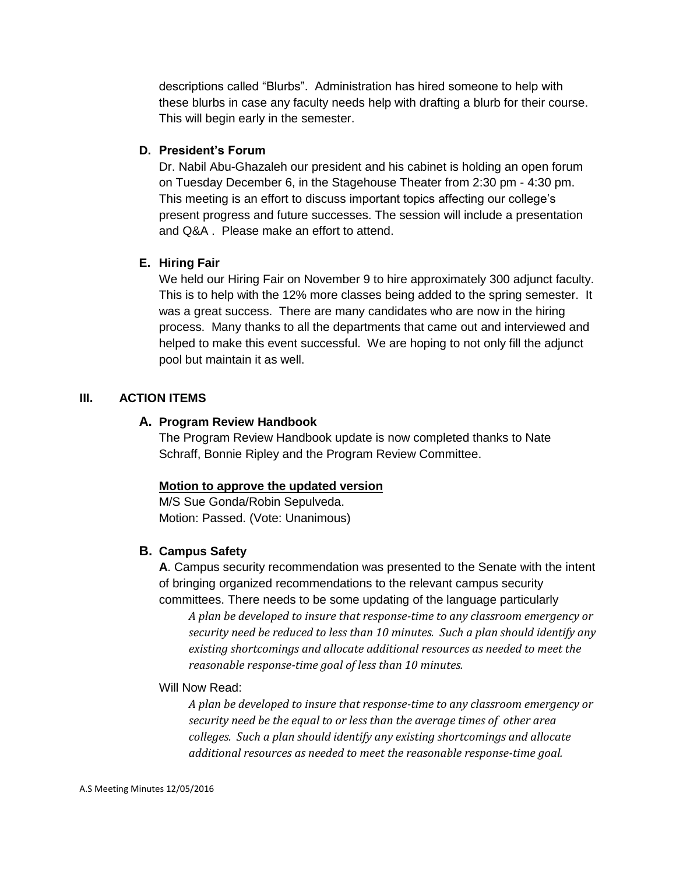descriptions called "Blurbs". Administration has hired someone to help with these blurbs in case any faculty needs help with drafting a blurb for their course. This will begin early in the semester.

### **D. President's Forum**

Dr. Nabil Abu-Ghazaleh our president and his cabinet is holding an open forum on Tuesday December 6, in the Stagehouse Theater from 2:30 pm - 4:30 pm. This meeting is an effort to discuss important topics affecting our college's present progress and future successes. The session will include a presentation and Q&A . Please make an effort to attend.

### **E. Hiring Fair**

We held our Hiring Fair on November 9 to hire approximately 300 adjunct faculty. This is to help with the 12% more classes being added to the spring semester. It was a great success. There are many candidates who are now in the hiring process. Many thanks to all the departments that came out and interviewed and helped to make this event successful. We are hoping to not only fill the adjunct pool but maintain it as well.

### **III. ACTION ITEMS**

### **A. Program Review Handbook**

The Program Review Handbook update is now completed thanks to Nate Schraff, Bonnie Ripley and the Program Review Committee.

# **Motion to approve the updated version**

M/S Sue Gonda/Robin Sepulveda. Motion: Passed. (Vote: Unanimous)

# **B. Campus Safety**

**A**. Campus security recommendation was presented to the Senate with the intent of bringing organized recommendations to the relevant campus security committees. There needs to be some updating of the language particularly

*A plan be developed to insure that response-time to any classroom emergency or security need be reduced to less than 10 minutes. Such a plan should identify any existing shortcomings and allocate additional resources as needed to meet the reasonable response-time goal of less than 10 minutes.*

#### Will Now Read:

*A plan be developed to insure that response-time to any classroom emergency or security need be the equal to or less than the average times of other area colleges. Such a plan should identify any existing shortcomings and allocate additional resources as needed to meet the reasonable response-time goal.*